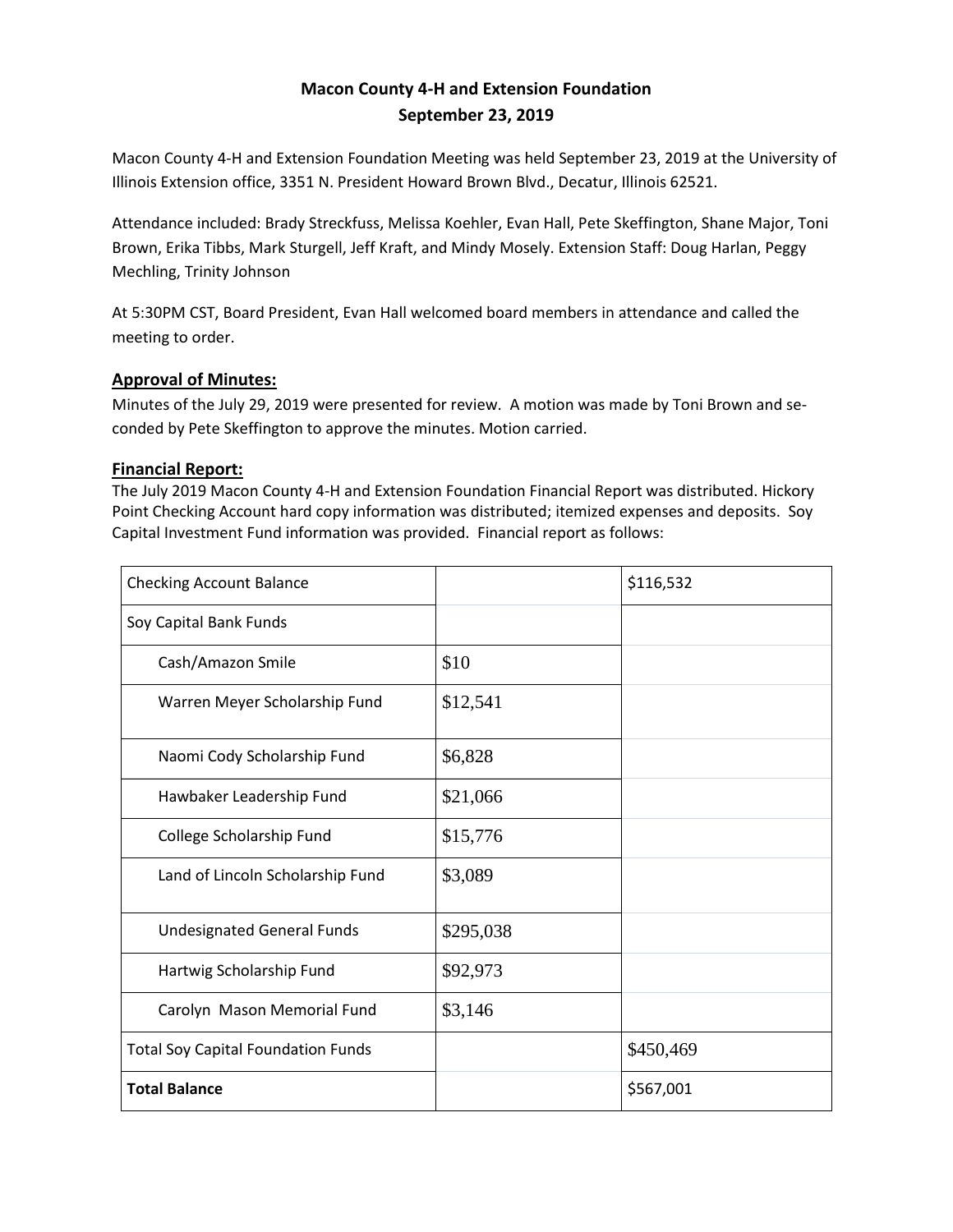# **Macon County 4-H and Extension Foundation September 23, 2019**

Macon County 4-H and Extension Foundation Meeting was held September 23, 2019 at the University of Illinois Extension office, 3351 N. President Howard Brown Blvd., Decatur, Illinois 62521.

Attendance included: Brady Streckfuss, Melissa Koehler, Evan Hall, Pete Skeffington, Shane Major, Toni Brown, Erika Tibbs, Mark Sturgell, Jeff Kraft, and Mindy Mosely. Extension Staff: Doug Harlan, Peggy Mechling, Trinity Johnson

At 5:30PM CST, Board President, Evan Hall welcomed board members in attendance and called the meeting to order.

# **Approval of Minutes:**

Minutes of the July 29, 2019 were presented for review. A motion was made by Toni Brown and seconded by Pete Skeffington to approve the minutes. Motion carried.

### **Financial Report:**

The July 2019 Macon County 4-H and Extension Foundation Financial Report was distributed. Hickory Point Checking Account hard copy information was distributed; itemized expenses and deposits. Soy Capital Investment Fund information was provided. Financial report as follows:

| <b>Checking Account Balance</b>           |           | \$116,532 |
|-------------------------------------------|-----------|-----------|
| Soy Capital Bank Funds                    |           |           |
| Cash/Amazon Smile                         | \$10      |           |
| Warren Meyer Scholarship Fund             | \$12,541  |           |
| Naomi Cody Scholarship Fund               | \$6,828   |           |
| Hawbaker Leadership Fund                  | \$21,066  |           |
| College Scholarship Fund                  | \$15,776  |           |
| Land of Lincoln Scholarship Fund          | \$3,089   |           |
| <b>Undesignated General Funds</b>         | \$295,038 |           |
| Hartwig Scholarship Fund                  | \$92,973  |           |
| Carolyn Mason Memorial Fund               | \$3,146   |           |
| <b>Total Soy Capital Foundation Funds</b> |           | \$450,469 |
| <b>Total Balance</b>                      |           | \$567,001 |